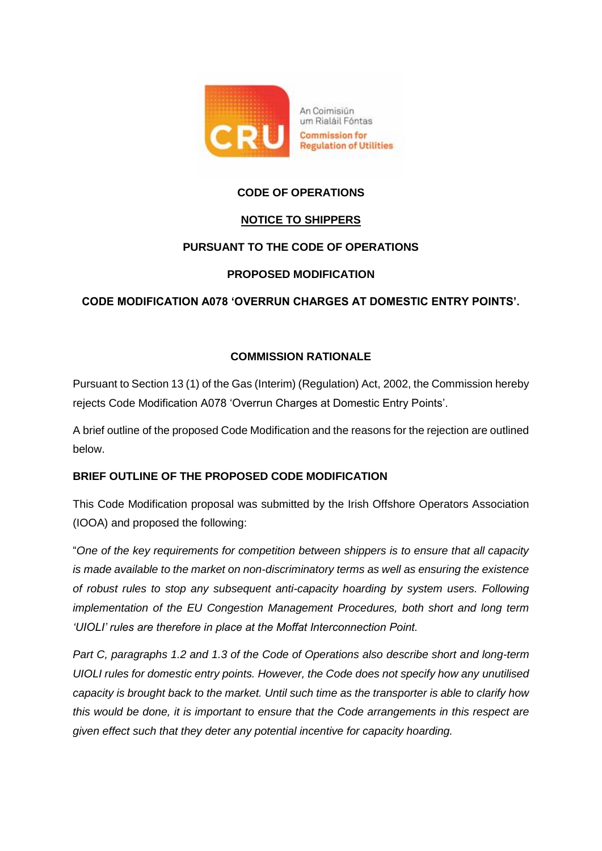

# **CODE OF OPERATIONS**

## **NOTICE TO SHIPPERS**

## **PURSUANT TO THE CODE OF OPERATIONS**

### **PROPOSED MODIFICATION**

## **CODE MODIFICATION A078 'OVERRUN CHARGES AT DOMESTIC ENTRY POINTS'.**

## **COMMISSION RATIONALE**

Pursuant to Section 13 (1) of the Gas (Interim) (Regulation) Act, 2002, the Commission hereby rejects Code Modification A078 'Overrun Charges at Domestic Entry Points'.

A brief outline of the proposed Code Modification and the reasons for the rejection are outlined below.

## **BRIEF OUTLINE OF THE PROPOSED CODE MODIFICATION**

This Code Modification proposal was submitted by the Irish Offshore Operators Association (IOOA) and proposed the following:

"*One of the key requirements for competition between shippers is to ensure that all capacity is made available to the market on non-discriminatory terms as well as ensuring the existence of robust rules to stop any subsequent anti-capacity hoarding by system users. Following implementation of the EU Congestion Management Procedures, both short and long term 'UIOLI' rules are therefore in place at the Moffat Interconnection Point.* 

*Part C, paragraphs 1.2 and 1.3 of the Code of Operations also describe short and long-term UIOLI rules for domestic entry points. However, the Code does not specify how any unutilised capacity is brought back to the market. Until such time as the transporter is able to clarify how this would be done, it is important to ensure that the Code arrangements in this respect are given effect such that they deter any potential incentive for capacity hoarding.*